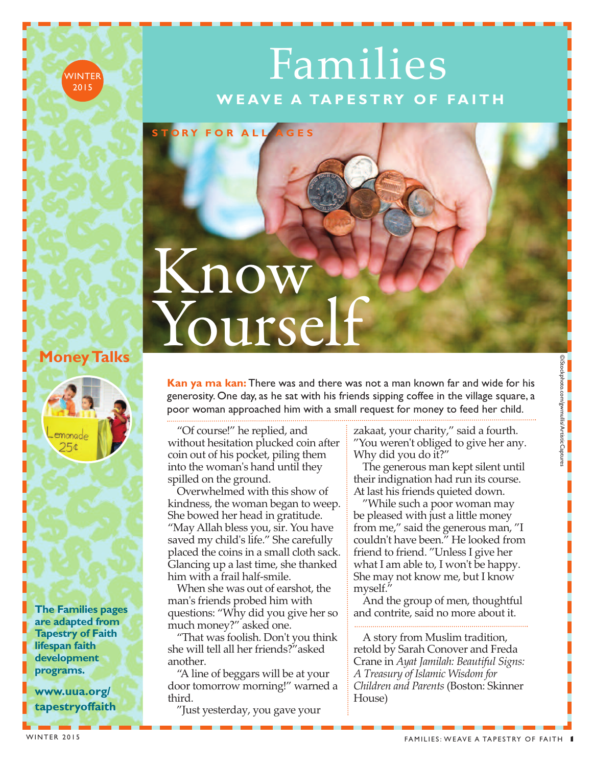# Families **W E AV E A TA P E S T RY O F FA I T H**

# Know

**S T ORY F O R A L L A G E S**

#### **MoneyTalks**

**WINTER** 2015



**The Families pages are adapted from Tapestry of Faith lifespan faith development programs.**

**www.uua.org/ tapestryoffaith** EXTENDENT CONTROLL CONTROLL CONTROLL CONTROLL CONTROLL CONTROLL CONTROLL CONTROLL CONTROLL CONTROLL CONTROLL CONTROLL CONTROLL CONTROLL CONTROLL CONTROLL CONTROLL CONTROLL CONTROLL CONTROLL CONTROLL CONTROLL CONTROLL CONTR **Kan ya ma kan:** There was and there was not a man known far and wide for his generosity. One day, as he sat with his friends sipping coffee in the village square, a poor woman approached him with a small request for money to feed her child.

"Of course!" he replied, and without hesitation plucked coin after coin out of his pocket, piling them into the woman's hand until they spilled on the ground.

Overwhelmed with this show of kindness, the woman began to weep. She bowed her head in gratitude. "May Allah bless you, sir. You have saved my child's life." She carefully placed the coins in a small cloth sack. Glancing up a last time, she thanked him with a frail half-smile.

When she was out of earshot, the man's friends probed him with questions: "Why did you give her so much money?" asked one.

"That was foolish. Don't you think she will tell all her friends?"asked another.

"A line of beggars will be at your door tomorrow morning!" warned a third.

"Just yesterday, you gave your

zakaat, your charity," said a fourth. "You weren't obliged to give her any. Why did you do it?"

The generous man kept silent until their indignation had run its course. At last his friends quieted down.

"While such a poor woman may be pleased with just a little money from me," said the generous man, "I couldn't have been." He looked from friend to friend. "Unless I give her what I am able to, I won't be happy. She may not know me, but I know myself."

And the group of men, thoughtful and contrite, said no more about it.

A story from Muslim tradition, retold by Sarah Conover and Freda Crane in *Ayat Jamilah: Beautiful Signs: A Treasury of Islamic Wisdom for Children and Parents* (Boston: Skinner House)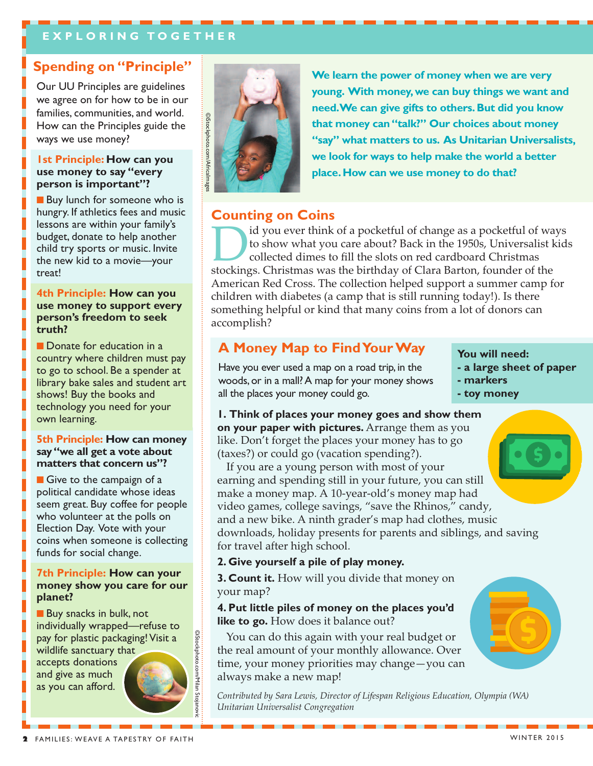#### **E X P L O R I N G T O G E T H E R**

#### **Spending on "Principle"**

Our UU Principles are guidelines we agree on for how to be in our families, communities, and world. How can the Principles guide the ways we use money?

#### **1st Principle: How can you use money to say "every person is important"?**

**n** Buy lunch for someone who is hungry. If athletics fees and music lessons are within your family's budget, donate to help another child try sports or music. Invite the new kid to a movie—your treat!

#### **4th Principle: How can you use money to support every person's freedom to seek truth?**

**n** Donate for education in a country where children must pay to go to school. Be a spender at library bake sales and student art shows! Buy the books and technology you need for your own learning.

#### **5th Principle: How can money say"we all get a vote about matters that concern us"?**

**n** Give to the campaign of a political candidate whose ideas seem great. Buy coffee for people who volunteer at the polls on Election Day. Vote with your coins when someone is collecting funds for social change.

#### **7th Principle: How can your money show you care for our planet?**

 $\blacksquare$  Buy snacks in bulk, not individually wrapped—refuse to pay for plastic packaging! Visit a wildlife sanctuary that

accepts donations and give as much as you can afford.



©iStockphoto.com/Milan

Stojanovic



**We learn the power of money when we are very young. With money,we can buy things we want and need.We can give gifts to others.But did you know that money can"talk?" Our choices about money "say" what matters to us. As Unitarian Universalists, we look for ways to help make the world a better place.How can we use money to do that?**

#### **Counting on Coins**

id you ever think of a pocketful of change as a pocketful of ways to show what you care about? Back in the 1950s, Universalist kids collected dimes to fill the slots on red cardboard Christmas stockings. Christmas was the birthday of Clara Barton, founder of the American Red Cross. The collection helped support a summer camp for children with diabetes (a camp that is still running today!). Is there something helpful or kind that many coins from a lot of donors can accomplish?

#### **A Money Map to FindYourWay**

Have you ever used a map on a road trip, in the woods,or in a mall?A map for your money shows all the places your money could go.

- **You will need:**
- **- a large sheet of paper**
- **- markers**
- **- toy money**

**1. Think of places your money goes and show them on your paper with pictures.** Arrange them as you like. Don't forget the places your money has to go (taxes?) or could go (vacation spending?).

If you are a young person with most of your earning and spending still in your future, you can still make a money map. A 10-year-old's money map had video games, college savings, "save the Rhinos," candy, and a new bike. A ninth grader's map had clothes, music downloads, holiday presents for parents and siblings, and saving for travel after high school.

#### **2. Give yourself a pile of play money.**

**3. Count it.** How will you divide that money on your map?

#### **4. Put little piles of money on the places you'd like to go.** How does it balance out?

You can do this again with your real budget or the real amount of your monthly allowance. Over time, your money priorities may change—you can always make a new map!

*Contributed by Sara Lewis, Director of Lifespan Religious Education, Olympia (WA) Unitarian Universalist Congregation*

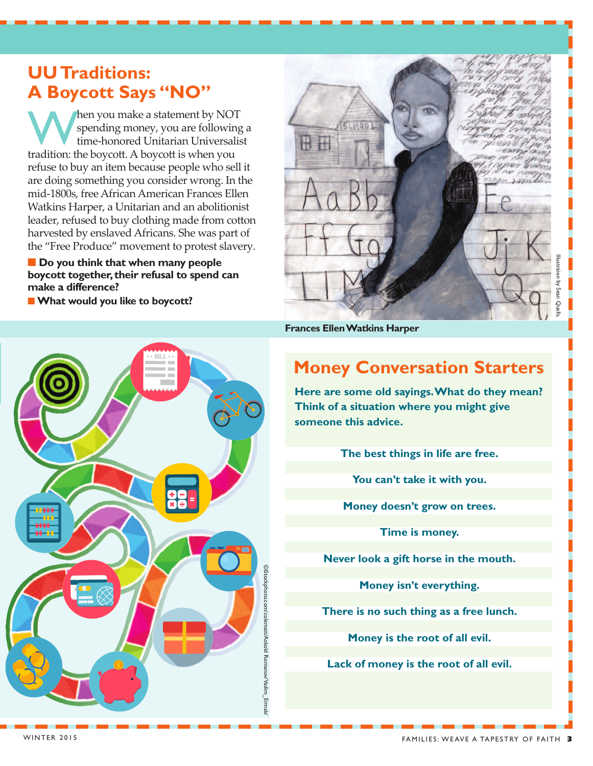#### **UUTraditions: A Boycott Says "NO"**

When you make a statement by NOT<br>spending money, you are following<br>tradition: the boycott A boycott is when you spending money, you are following a time-honored Unitarian Universalist tradition: the boycott. A boycott is when you refuse to buy an item because people who sell it are doing something you consider wrong. In the mid-1800s, free African American Frances Ellen Watkins Harper, a Unitarian and an abolitionist leader, refused to buy clothing made from cotton harvested by enslaved Africans. She was part of the "Free Produce" movement to protest slavery.

 $\blacksquare$  Do you think that when many people **boycott together, their refusal to spend can make a difference?**

n **What would you like to boycott?**



**Frances EllenWatkins Harper**

### **Money Conversation Starters**

**Here are some old sayings.What do they mean? Think of a situation where you might give someone this advice.**

**The best things in life are free.**

**You can't take it with you.**

**Money doesn't grow on trees.**

**Time is money.**

**Never look a gift horse in the mouth.**

**Money isn't everything.**

**There is no such thing as a free lunch.**

**Money is the root of all evil.**

**Lack of money is the root of all evil.**